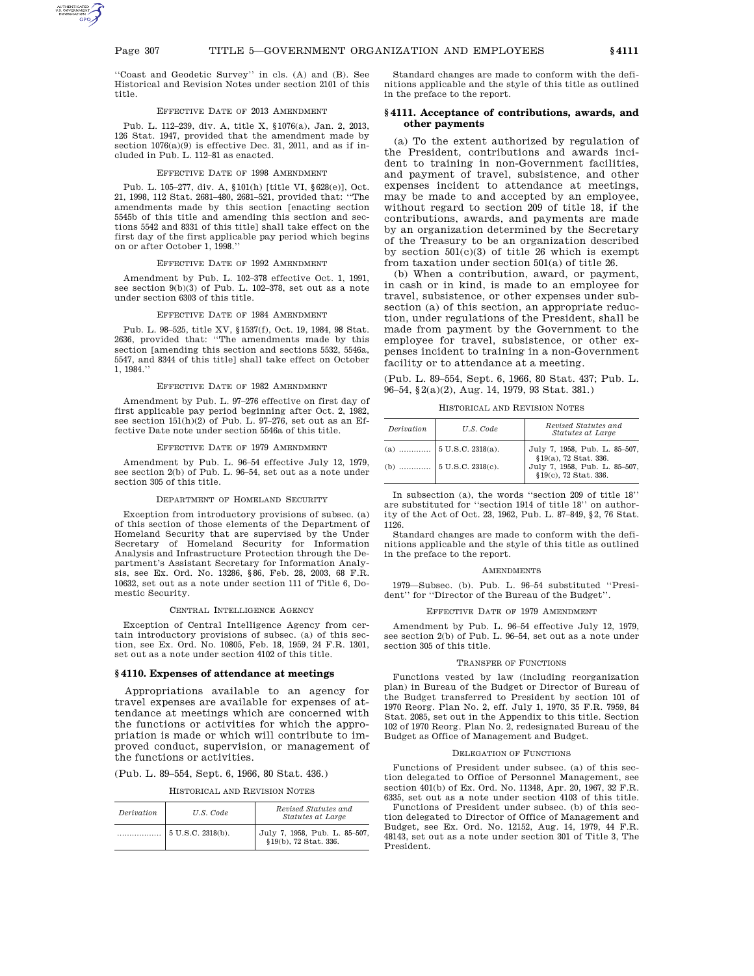''Coast and Geodetic Survey'' in cls. (A) and (B). See Historical and Revision Notes under section 2101 of this title.

## EFFECTIVE DATE OF 2013 AMENDMENT

Pub. L. 112–239, div. A, title X, §1076(a), Jan. 2, 2013, 126 Stat. 1947, provided that the amendment made by section  $1076(a)(9)$  is effective Dec. 31, 2011, and as if included in Pub. L. 112–81 as enacted.

#### EFFECTIVE DATE OF 1998 AMENDMENT

Pub. L. 105–277, div. A, §101(h) [title VI, §628(e)], Oct. 21, 1998, 112 Stat. 2681–480, 2681–521, provided that: ''The amendments made by this section [enacting section 5545b of this title and amending this section and sections 5542 and 8331 of this title] shall take effect on the first day of the first applicable pay period which begins on or after October 1, 1998.''

## EFFECTIVE DATE OF 1992 AMENDMENT

Amendment by Pub. L. 102–378 effective Oct. 1, 1991, see section 9(b)(3) of Pub. L. 102–378, set out as a note under section 6303 of this title.

#### EFFECTIVE DATE OF 1984 AMENDMENT

Pub. L. 98–525, title XV, §1537(f), Oct. 19, 1984, 98 Stat. 2636, provided that: ''The amendments made by this section [amending this section and sections 5532, 5546a, 5547, and 8344 of this title] shall take effect on October 1, 1984.''

## EFFECTIVE DATE OF 1982 AMENDMENT

Amendment by Pub. L. 97–276 effective on first day of first applicable pay period beginning after Oct. 2, 1982, see section 151(h)(2) of Pub. L. 97–276, set out as an Effective Date note under section 5546a of this title.

## EFFECTIVE DATE OF 1979 AMENDMENT

Amendment by Pub. L. 96–54 effective July 12, 1979, see section 2(b) of Pub. L. 96–54, set out as a note under section 305 of this title.

## DEPARTMENT OF HOMELAND SECURITY

Exception from introductory provisions of subsec. (a) of this section of those elements of the Department of Homeland Security that are supervised by the Under Secretary of Homeland Security for Information Analysis and Infrastructure Protection through the Department's Assistant Secretary for Information Analysis, see Ex. Ord. No. 13286, §86, Feb. 28, 2003, 68 F.R. 10632, set out as a note under section 111 of Title 6, Domestic Security.

## CENTRAL INTELLIGENCE AGENCY

Exception of Central Intelligence Agency from certain introductory provisions of subsec. (a) of this section, see Ex. Ord. No. 10805, Feb. 18, 1959, 24 F.R. 1301, set out as a note under section 4102 of this title.

### **§ 4110. Expenses of attendance at meetings**

Appropriations available to an agency for travel expenses are available for expenses of attendance at meetings which are concerned with the functions or activities for which the appropriation is made or which will contribute to improved conduct, supervision, or management of the functions or activities.

|  |  |  | (Pub. L. 89–554, Sept. 6, 1966, 80 Stat. 436.) |  |  |  |  |  |  |  |
|--|--|--|------------------------------------------------|--|--|--|--|--|--|--|
|--|--|--|------------------------------------------------|--|--|--|--|--|--|--|

HISTORICAL AND REVISION NOTES

| Derivation | U.S. Code         | Revised Statutes and<br>Statutes at Large              |
|------------|-------------------|--------------------------------------------------------|
|            | 5 U.S.C. 2318(b). | July 7, 1958, Pub. L. 85-507,<br>§19(b), 72 Stat. 336. |

Standard changes are made to conform with the definitions applicable and the style of this title as outlined in the preface to the report.

## **§ 4111. Acceptance of contributions, awards, and other payments**

(a) To the extent authorized by regulation of the President, contributions and awards incident to training in non-Government facilities, and payment of travel, subsistence, and other expenses incident to attendance at meetings, may be made to and accepted by an employee, without regard to section 209 of title 18, if the contributions, awards, and payments are made by an organization determined by the Secretary of the Treasury to be an organization described by section  $501(c)(3)$  of title 26 which is exempt from taxation under section 501(a) of title 26.

(b) When a contribution, award, or payment, in cash or in kind, is made to an employee for travel, subsistence, or other expenses under subsection (a) of this section, an appropriate reduction, under regulations of the President, shall be made from payment by the Government to the employee for travel, subsistence, or other expenses incident to training in a non-Government facility or to attendance at a meeting.

(Pub. L. 89–554, Sept. 6, 1966, 80 Stat. 437; Pub. L. 96–54, §2(a)(2), Aug. 14, 1979, 93 Stat. 381.)

## HISTORICAL AND REVISION NOTES

| Derivation | U.S. Code | Revised Statutes and<br>Statutes at Large              |  |  |
|------------|-----------|--------------------------------------------------------|--|--|
|            |           | July 7, 1958, Pub. L. 85-507,<br>§19(a), 72 Stat. 336. |  |  |
|            |           | July 7, 1958, Pub. L. 85-507,<br>§19(c), 72 Stat. 336. |  |  |

In subsection (a), the words ''section 209 of title 18'' are substituted for ''section 1914 of title 18'' on authority of the Act of Oct. 23, 1962, Pub. L. 87–849, §2, 76 Stat. 1126.

Standard changes are made to conform with the definitions applicable and the style of this title as outlined in the preface to the report.

#### AMENDMENTS

1979—Subsec. (b). Pub. L. 96–54 substituted ''President'' for ''Director of the Bureau of the Budget''.

## EFFECTIVE DATE OF 1979 AMENDMENT

Amendment by Pub. L. 96–54 effective July 12, 1979, see section 2(b) of Pub. L. 96–54, set out as a note under section 305 of this title.

#### TRANSFER OF FUNCTIONS

Functions vested by law (including reorganization plan) in Bureau of the Budget or Director of Bureau of the Budget transferred to President by section 101 of 1970 Reorg. Plan No. 2, eff. July 1, 1970, 35 F.R. 7959, 84 Stat. 2085, set out in the Appendix to this title. Section 102 of 1970 Reorg. Plan No. 2, redesignated Bureau of the Budget as Office of Management and Budget.

## DELEGATION OF FUNCTIONS

Functions of President under subsec. (a) of this section delegated to Office of Personnel Management, see section 401(b) of Ex. Ord. No. 11348, Apr. 20, 1967, 32 F.R. 6335, set out as a note under section 4103 of this title.

Functions of President under subsec. (b) of this section delegated to Director of Office of Management and Budget, see Ex. Ord. No. 12152, Aug. 14, 1979, 44 F.R. 48143, set out as a note under section 301 of Title 3, The President.